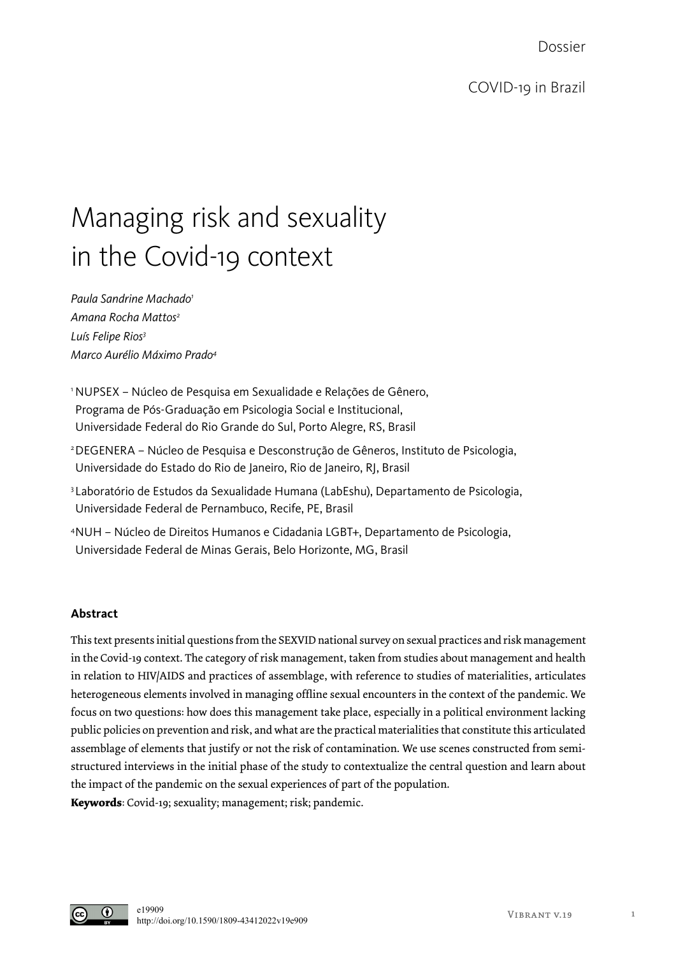Dossier

## Managing risk and sexuality in the Covid-19 context

*Paula Sandrine Machado1 Amana Rocha Mattos2 Luís Felipe Rios3 Marco Aurélio Máximo Prado4*

<sup>1</sup> NUPSEX – Núcleo de Pesquisa em Sexualidade e Relações de Gênero, Programa de Pós-Graduação em Psicologia Social e Institucional, Universidade Federal do Rio Grande do Sul, Porto Alegre, RS, Brasil

- 2DEGENERA Núcleo de Pesquisa e Desconstrução de Gêneros, Instituto de Psicologia, Universidade do Estado do Rio de Janeiro, Rio de Janeiro, RJ, Brasil
- 3Laboratório de Estudos da Sexualidade Humana (LabEshu), Departamento de Psicologia, Universidade Federal de Pernambuco, Recife, PE, Brasil
- 4NUH Núcleo de Direitos Humanos e Cidadania LGBT+, Departamento de Psicologia, Universidade Federal de Minas Gerais, Belo Horizonte, MG, Brasil

## **Abstract**

This text presents initial questions from the SEXVID national survey on sexual practices and risk management in the Covid-19 context. The category of risk management, taken from studies about management and health in relation to HIV/AIDS and practices of assemblage, with reference to studies of materialities, articulates heterogeneous elements involved in managing offline sexual encounters in the context of the pandemic. We focus on two questions: how does this management take place, especially in a political environment lacking public policies on prevention and risk, and what are the practical materialities that constitute this articulated assemblage of elements that justify or not the risk of contamination. We use scenes constructed from semistructured interviews in the initial phase of the study to contextualize the central question and learn about the impact of the pandemic on the sexual experiences of part of the population. **Keywords**: Covid-19; sexuality; management; risk; pandemic.

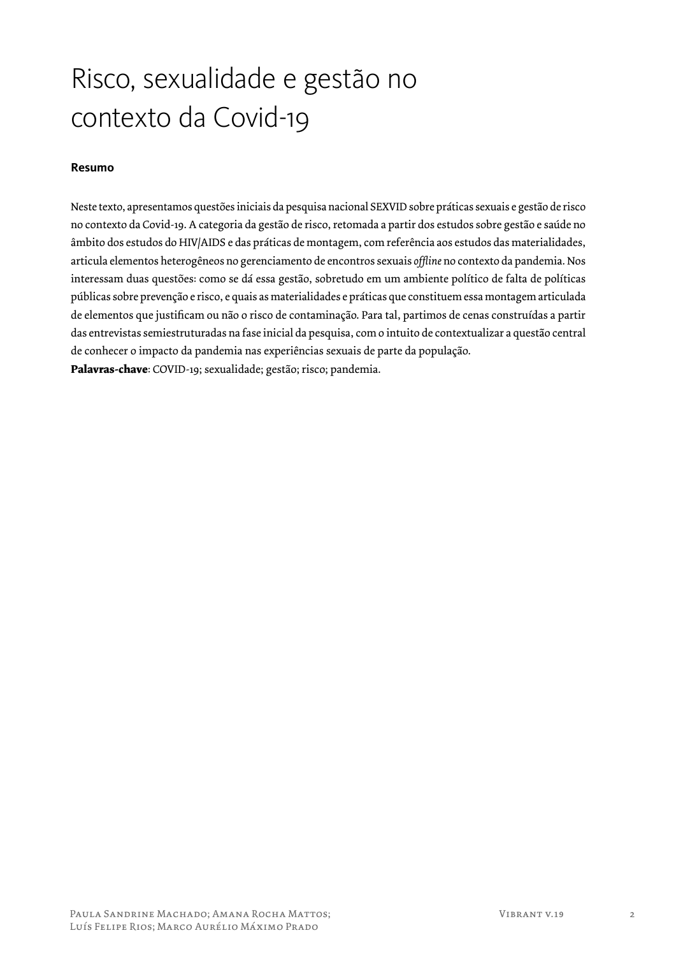# Risco, sexualidade e gestão no contexto da Covid-19

## **Resumo**

Neste texto, apresentamos questões iniciais da pesquisa nacional SEXVID sobre práticas sexuais e gestão de risco no contexto da Covid-19. A categoria da gestão de risco, retomada a partir dos estudos sobre gestão e saúde no âmbito dos estudos do HIV/AIDS e das práticas de montagem, com referência aos estudos das materialidades, articula elementos heterogêneos no gerenciamento de encontros sexuais *offline* no contexto da pandemia. Nos interessam duas questões: como se dá essa gestão, sobretudo em um ambiente político de falta de políticas públicas sobre prevenção e risco, e quais as materialidades e práticas que constituem essa montagem articulada de elementos que justificam ou não o risco de contaminação. Para tal, partimos de cenas construídas a partir das entrevistas semiestruturadas na fase inicial da pesquisa, com o intuito de contextualizar a questão central de conhecer o impacto da pandemia nas experiências sexuais de parte da população. **Palavras-chave**: COVID-19; sexualidade; gestão; risco; pandemia.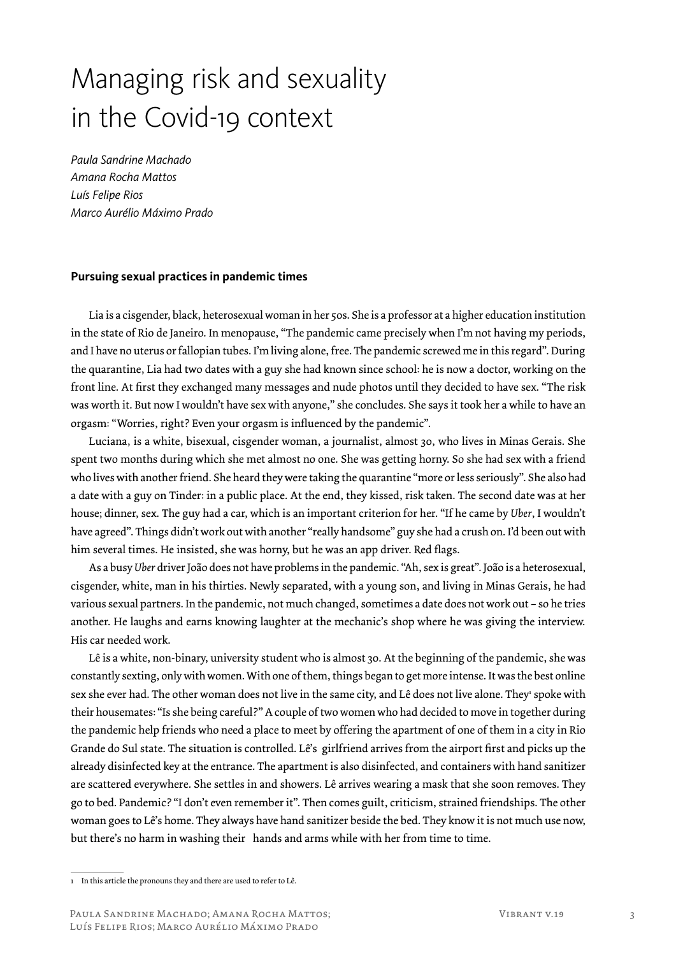# Managing risk and sexuality in the Covid-19 context

*Paula Sandrine Machado Amana Rocha Mattos Luís Felipe Rios Marco Aurélio Máximo Prado*

#### **Pursuing sexual practices in pandemic times**

Lia is a cisgender, black, heterosexual woman in her 50s. She is a professor at a higher education institution in the state of Rio de Janeiro. In menopause, "The pandemic came precisely when I'm not having my periods, and I have no uterus or fallopian tubes. I'm living alone, free. The pandemic screwed me in this regard". During the quarantine, Lia had two dates with a guy she had known since school: he is now a doctor, working on the front line. At first they exchanged many messages and nude photos until they decided to have sex. "The risk was worth it. But now I wouldn't have sex with anyone," she concludes. She says it took her a while to have an orgasm: "Worries, right? Even your orgasm is influenced by the pandemic".

Luciana, is a white, bisexual, cisgender woman, a journalist, almost 30, who lives in Minas Gerais. She spent two months during which she met almost no one. She was getting horny. So she had sex with a friend who lives with another friend. She heard they were taking the quarantine "more or less seriously". She also had a date with a guy on Tinder: in a public place. At the end, they kissed, risk taken. The second date was at her house; dinner, sex. The guy had a car, which is an important criterion for her. "If he came by *Uber*, I wouldn't have agreed". Things didn't work out with another "really handsome" guy she had a crush on. I'd been out with him several times. He insisted, she was horny, but he was an app driver. Red flags.

As a busy *Uber* driver João does not have problems in the pandemic. "Ah, sex is great". João is a heterosexual, cisgender, white, man in his thirties. Newly separated, with a young son, and living in Minas Gerais, he had various sexual partners. In the pandemic, not much changed, sometimes a date does not work out – so he tries another. He laughs and earns knowing laughter at the mechanic's shop where he was giving the interview. His car needed work.

Lê is a white, non-binary, university student who is almost 30. At the beginning of the pandemic, she was constantly sexting, only with women. With one of them, things began to get more intense. It was the best online sex she ever had. The other woman does not live in the same city, and Lê does not live alone. They' spoke with their housemates: "Is she being careful?" A couple of two women who had decided to move in together during the pandemic help friends who need a place to meet by offering the apartment of one of them in a city in Rio Grande do Sul state. The situation is controlled. Lê's girlfriend arrives from the airport first and picks up the already disinfected key at the entrance. The apartment is also disinfected, and containers with hand sanitizer are scattered everywhere. She settles in and showers. Lê arrives wearing a mask that she soon removes. They go to bed. Pandemic? "I don't even remember it". Then comes guilt, criticism, strained friendships. The other woman goes to Lê's home. They always have hand sanitizer beside the bed. They know it is not much use now, but there's no harm in washing their hands and arms while with her from time to time.

<sup>1</sup> In this article the pronouns they and there are used to refer to Lê.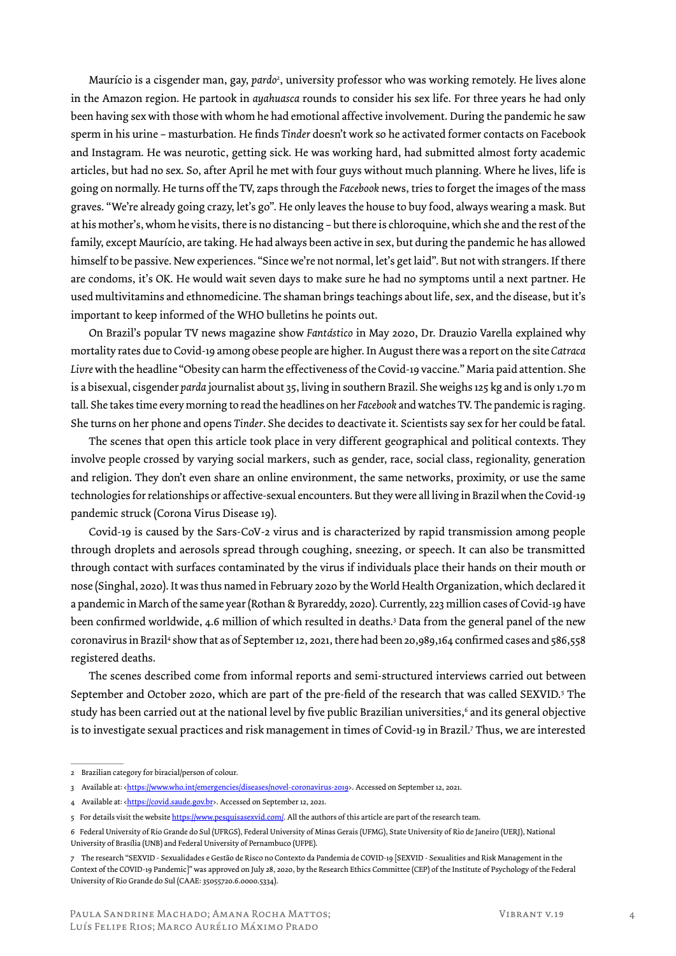Maurício is a cisgender man, gay, *pardo2* , university professor who was working remotely. He lives alone in the Amazon region. He partook in *ayahuasca* rounds to consider his sex life. For three years he had only been having sex with those with whom he had emotional affective involvement. During the pandemic he saw sperm in his urine – masturbation. He finds *Tinder* doesn't work so he activated former contacts on Facebook and Instagram. He was neurotic, getting sick. He was working hard, had submitted almost forty academic articles, but had no sex. So, after April he met with four guys without much planning. Where he lives, life is going on normally. He turns off the TV, zaps through the *Facebook* news, tries to forget the images of the mass graves. "We're already going crazy, let's go". He only leaves the house to buy food, always wearing a mask. But at his mother's, whom he visits, there is no distancing – but there is chloroquine, which she and the rest of the family, except Maurício, are taking. He had always been active in sex, but during the pandemic he has allowed himself to be passive. New experiences. "Since we're not normal, let's get laid". But not with strangers. If there are condoms, it's OK. He would wait seven days to make sure he had no symptoms until a next partner. He used multivitamins and ethnomedicine. The shaman brings teachings about life, sex, and the disease, but it's important to keep informed of the WHO bulletins he points out.

On Brazil's popular TV news magazine show *Fantástico* in May 2020, Dr. Drauzio Varella explained why mortality rates due to Covid-19 among obese people are higher. In August there was a report on the site *Catraca Livre* with the headline "Obesity can harm the effectiveness of the Covid-19 vaccine." Maria paid attention. She is a bisexual, cisgender *parda* journalist about 35, living in southern Brazil. She weighs 125 kg and is only 1.70 m tall. She takes time every morning to read the headlines on her *Facebook* and watches TV. The pandemic is raging. She turns on her phone and opens *Tinder*. She decides to deactivate it. Scientists say sex for her could be fatal.

The scenes that open this article took place in very different geographical and political contexts. They involve people crossed by varying social markers, such as gender, race, social class, regionality, generation and religion. They don't even share an online environment, the same networks, proximity, or use the same technologies for relationships or affective-sexual encounters. But they were all living in Brazil when the Covid-19 pandemic struck (Corona Virus Disease 19).

Covid-19 is caused by the Sars-CoV-2 virus and is characterized by rapid transmission among people through droplets and aerosols spread through coughing, sneezing, or speech. It can also be transmitted through contact with surfaces contaminated by the virus if individuals place their hands on their mouth or nose (Singhal, 2020). It was thus named in February 2020 by the World Health Organization, which declared it a pandemic in March of the same year (Rothan & Byrareddy, 2020). Currently, 223 million cases of Covid-19 have been confirmed worldwide, 4.6 million of which resulted in deaths.3 Data from the general panel of the new coronavirus in Brazil<sup>4</sup> show that as of September 12, 2021, there had been 20,989,164 confirmed cases and 586,558 registered deaths.

The scenes described come from informal reports and semi-structured interviews carried out between September and October 2020, which are part of the pre-field of the research that was called SEXVID.5 The study has been carried out at the national level by five public Brazilian universities,<sup>6</sup> and its general objective is to investigate sexual practices and risk management in times of Covid-19 in Brazil.7 Thus, we are interested

<sup>2</sup> Brazilian category for biracial/person of colour.

<sup>3</sup> Available at: <https://www.who.int/emergencies/diseases/novel-coronavirus-2019>. Accessed on September 12, 2021.

<sup>4</sup> Available at: <**https://covid.saude.gov.br**>. Accessed on September 12, 2021.

<sup>5</sup> For details visit the website https://www.pesquisasexvid.com/. All the authors of this article are part of the research team.

<sup>6</sup> Federal University of Rio Grande do Sul (UFRGS), Federal University of Minas Gerais (UFMG), State University of Rio de Janeiro (UERJ), National University of Brasília (UNB) and Federal University of Pernambuco (UFPE).

<sup>7</sup> The research "SEXVID - Sexualidades e Gestão de Risco no Contexto da Pandemia de COVID-19 [SEXVID - Sexualities and Risk Management in the Context of the COVID-19 Pandemic]" was approved on July 28, 2020, by the Research Ethics Committee (CEP) of the Institute of Psychology of the Federal University of Rio Grande do Sul (CAAE: 35055720.6.0000.5334).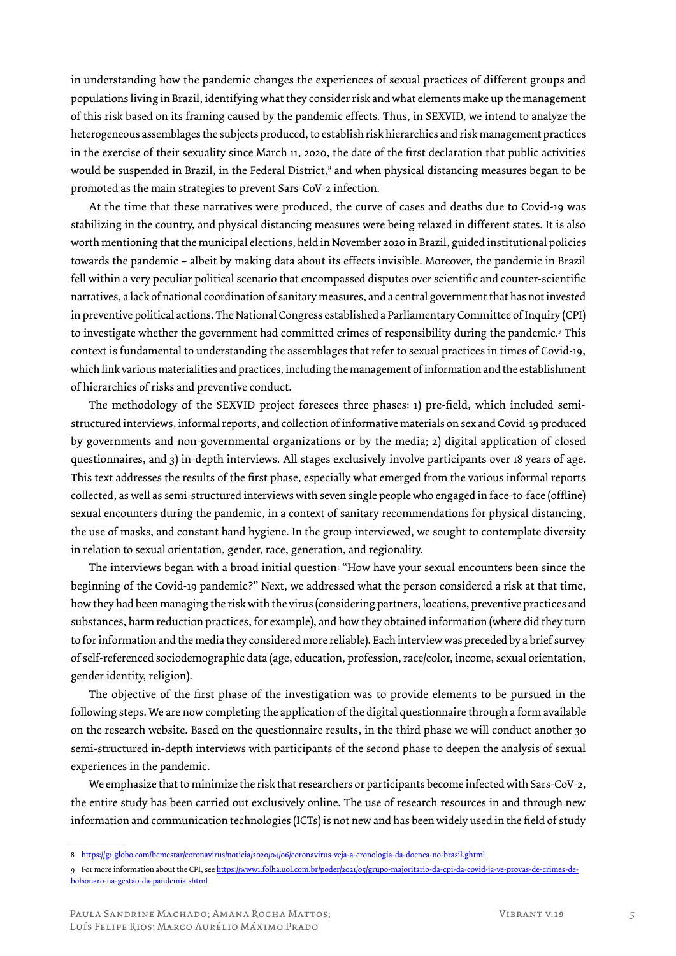in understanding how the pandemic changes the experiences of sexual practices of different groups and populations living in Brazil, identifying what they consider risk and what elements make up the management of this risk based on its framing caused by the pandemic effects. Thus, in SEXVID, we intend to analyze the heterogeneous assemblages the subjects produced, to establish risk hierarchies and risk management practices in the exercise of their sexuality since March 11, 2020, the date of the first declaration that public activities would be suspended in Brazil, in the Federal District,<sup>8</sup> and when physical distancing measures began to be promoted as the main strategies to prevent Sars-CoV-2 infection.

At the time that these narratives were produced, the curve of cases and deaths due to Covid-19 was stabilizing in the country, and physical distancing measures were being relaxed in different states. It is also worth mentioning that the municipal elections, held in November 2020 in Brazil, guided institutional policies towards the pandemic – albeit by making data about its effects invisible. Moreover, the pandemic in Brazil fell within a very peculiar political scenario that encompassed disputes over scientific and counter-scientific narratives, a lack of national coordination of sanitary measures, and a central government that has not invested in preventive political actions. The National Congress established a Parliamentary Committee of Inquiry (CPI) to investigate whether the government had committed crimes of responsibility during the pandemic.<sup>9</sup> This context is fundamental to understanding the assemblages that refer to sexual practices in times of Covid-19, which link various materialities and practices, including the management of information and the establishment of hierarchies of risks and preventive conduct.

The methodology of the SEXVID project foresees three phases: 1) pre-field, which included semistructured interviews, informal reports, and collection of informative materials on sex and Covid-19 produced by governments and non-governmental organizations or by the media; 2) digital application of closed questionnaires, and 3) in-depth interviews. All stages exclusively involve participants over 18 years of age. This text addresses the results of the first phase, especially what emerged from the various informal reports collected, as well as semi-structured interviews with seven single people who engaged in face-to-face (offline) sexual encounters during the pandemic, in a context of sanitary recommendations for physical distancing, the use of masks, and constant hand hygiene. In the group interviewed, we sought to contemplate diversity in relation to sexual orientation, gender, race, generation, and regionality.

The interviews began with a broad initial question: "How have your sexual encounters been since the beginning of the Covid-19 pandemic?" Next, we addressed what the person considered a risk at that time, how they had been managing the risk with the virus (considering partners, locations, preventive practices and substances, harm reduction practices, for example), and how they obtained information (where did they turn to for information and the media they considered more reliable). Each interview was preceded by a brief survey of self-referenced sociodemographic data (age, education, profession, race/color, income, sexual orientation, gender identity, religion).

The objective of the first phase of the investigation was to provide elements to be pursued in the following steps. We are now completing the application of the digital questionnaire through a form available on the research website. Based on the questionnaire results, in the third phase we will conduct another 30 semi-structured in-depth interviews with participants of the second phase to deepen the analysis of sexual experiences in the pandemic.

We emphasize that to minimize the risk that researchers or participants become infected with Sars-CoV-2, the entire study has been carried out exclusively online. The use of research resources in and through new information and communication technologies (ICTs) is not new and has been widely used in the field of study

<sup>8</sup> https://g1.globo.com/bemestar/coronavirus/noticia/2020/04/06/coronavirus-veja-a-cronologia-da-doenca-no-brasil.ghtml

<sup>9</sup> For more information about the CPI, see https://www1.folha.uol.com.br/poder/2021/05/grupo-majoritario-da-cpi-da-covid-ja-ve-provas-de-crimes-debolsonaro-na-gestao-da-pandemia.shtml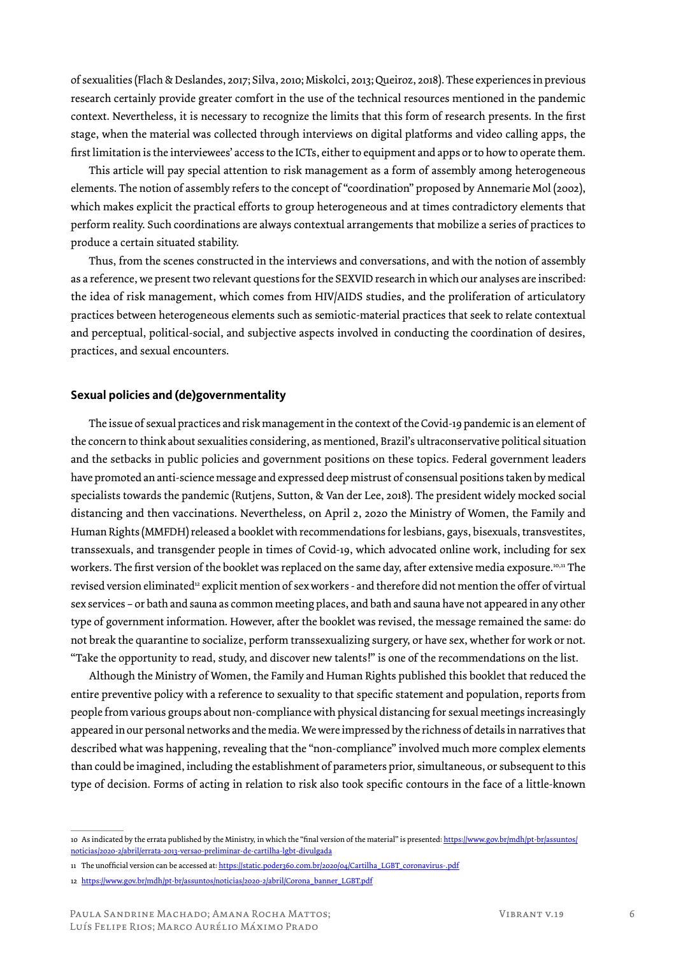of sexualities (Flach & Deslandes, 2017; Silva, 2010; Miskolci, 2013; Queiroz, 2018). These experiences in previous research certainly provide greater comfort in the use of the technical resources mentioned in the pandemic context. Nevertheless, it is necessary to recognize the limits that this form of research presents. In the first stage, when the material was collected through interviews on digital platforms and video calling apps, the first limitation is the interviewees' access to the ICTs, either to equipment and apps or to how to operate them.

This article will pay special attention to risk management as a form of assembly among heterogeneous elements. The notion of assembly refers to the concept of "coordination" proposed by Annemarie Mol (2002), which makes explicit the practical efforts to group heterogeneous and at times contradictory elements that perform reality. Such coordinations are always contextual arrangements that mobilize a series of practices to produce a certain situated stability.

Thus, from the scenes constructed in the interviews and conversations, and with the notion of assembly as a reference, we present two relevant questions for the SEXVID research in which our analyses are inscribed: the idea of risk management, which comes from HIV/AIDS studies, and the proliferation of articulatory practices between heterogeneous elements such as semiotic-material practices that seek to relate contextual and perceptual, political-social, and subjective aspects involved in conducting the coordination of desires, practices, and sexual encounters.

#### **Sexual policies and (de)governmentality**

The issue of sexual practices and risk management in the context of the Covid-19 pandemic is an element of the concern to think about sexualities considering, as mentioned, Brazil's ultraconservative political situation and the setbacks in public policies and government positions on these topics. Federal government leaders have promoted an anti-science message and expressed deep mistrust of consensual positions taken by medical specialists towards the pandemic (Rutjens, Sutton, & Van der Lee, 2018). The president widely mocked social distancing and then vaccinations. Nevertheless, on April 2, 2020 the Ministry of Women, the Family and Human Rights (MMFDH) released a booklet with recommendations for lesbians, gays, bisexuals, transvestites, transsexuals, and transgender people in times of Covid-19, which advocated online work, including for sex workers. The first version of the booklet was replaced on the same day, after extensive media exposure.<sup>10,11</sup> The revised version eliminated<sup>12</sup> explicit mention of sex workers - and therefore did not mention the offer of virtual sex services – or bath and sauna as common meeting places, and bath and sauna have not appeared in any other type of government information. However, after the booklet was revised, the message remained the same: do not break the quarantine to socialize, perform transsexualizing surgery, or have sex, whether for work or not. "Take the opportunity to read, study, and discover new talents!" is one of the recommendations on the list.

Although the Ministry of Women, the Family and Human Rights published this booklet that reduced the entire preventive policy with a reference to sexuality to that specific statement and population, reports from people from various groups about non-compliance with physical distancing for sexual meetings increasingly appeared in our personal networks and the media. We were impressed by the richness of details in narratives that described what was happening, revealing that the "non-compliance" involved much more complex elements than could be imagined, including the establishment of parameters prior, simultaneous, or subsequent to this type of decision. Forms of acting in relation to risk also took specific contours in the face of a little-known

11 The unofficial version can be accessed at: https://static.poder360.com.br/2020/04/Cartilha\_LGBT\_coronavirus-.pdf

<sup>10</sup> As indicated by the errata published by the Ministry, in which the "final version of the material" is presented: https://www.gov.br/mdh/pt-br/assuntos/ noticias/2020-2/abril/errata-2013-versao-preliminar-de-cartilha-lgbt-divulgada

<sup>12</sup> https://www.gov.br/mdh/pt-br/assuntos/noticias/2020-2/abril/Corona\_banner\_LGBT.pdf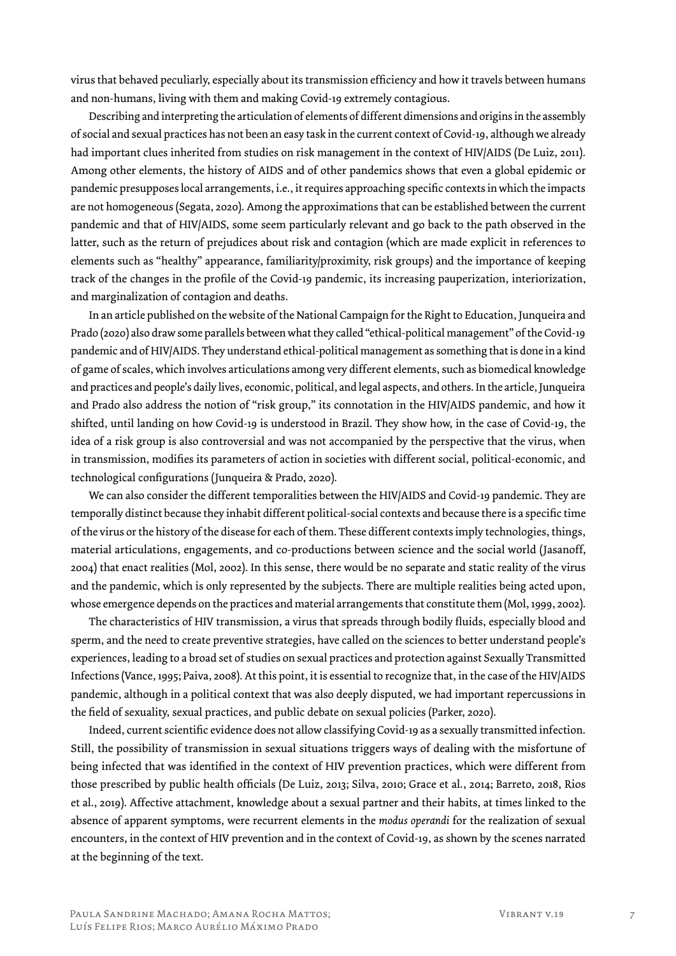virus that behaved peculiarly, especially about its transmission efficiency and how it travels between humans and non-humans, living with them and making Covid-19 extremely contagious.

Describing and interpreting the articulation of elements of different dimensions and origins in the assembly of social and sexual practices has not been an easy task in the current context of Covid-19, although we already had important clues inherited from studies on risk management in the context of HIV/AIDS (De Luiz, 2011). Among other elements, the history of AIDS and of other pandemics shows that even a global epidemic or pandemic presupposes local arrangements, i.e., it requires approaching specific contexts in which the impacts are not homogeneous (Segata, 2020). Among the approximations that can be established between the current pandemic and that of HIV/AIDS, some seem particularly relevant and go back to the path observed in the latter, such as the return of prejudices about risk and contagion (which are made explicit in references to elements such as "healthy" appearance, familiarity/proximity, risk groups) and the importance of keeping track of the changes in the profile of the Covid-19 pandemic, its increasing pauperization, interiorization, and marginalization of contagion and deaths.

In an article published on the website of the National Campaign for the Right to Education, Junqueira and Prado (2020) also draw some parallels between what they called "ethical-political management" of the Covid-19 pandemic and of HIV/AIDS. They understand ethical-political management as something that is done in a kind of game of scales, which involves articulations among very different elements, such as biomedical knowledge and practices and people's daily lives, economic, political, and legal aspects, and others. In the article, Junqueira and Prado also address the notion of "risk group," its connotation in the HIV/AIDS pandemic, and how it shifted, until landing on how Covid-19 is understood in Brazil. They show how, in the case of Covid-19, the idea of a risk group is also controversial and was not accompanied by the perspective that the virus, when in transmission, modifies its parameters of action in societies with different social, political-economic, and technological configurations (Junqueira & Prado, 2020).

We can also consider the different temporalities between the HIV/AIDS and Covid-19 pandemic. They are temporally distinct because they inhabit different political-social contexts and because there is a specific time of the virus or the history of the disease for each of them. These different contexts imply technologies, things, material articulations, engagements, and co-productions between science and the social world (Jasanoff, 2004) that enact realities (Mol, 2002). In this sense, there would be no separate and static reality of the virus and the pandemic, which is only represented by the subjects. There are multiple realities being acted upon, whose emergence depends on the practices and material arrangements that constitute them (Mol, 1999, 2002).

The characteristics of HIV transmission, a virus that spreads through bodily fluids, especially blood and sperm, and the need to create preventive strategies, have called on the sciences to better understand people's experiences, leading to a broad set of studies on sexual practices and protection against Sexually Transmitted Infections (Vance, 1995; Paiva, 2008). At this point, it is essential to recognize that, in the case of the HIV/AIDS pandemic, although in a political context that was also deeply disputed, we had important repercussions in the field of sexuality, sexual practices, and public debate on sexual policies (Parker, 2020).

Indeed, current scientific evidence does not allow classifying Covid-19 as a sexually transmitted infection. Still, the possibility of transmission in sexual situations triggers ways of dealing with the misfortune of being infected that was identified in the context of HIV prevention practices, which were different from those prescribed by public health officials (De Luiz, 2013; Silva, 2010; Grace et al., 2014; Barreto, 2018, Rios et al., 2019). Affective attachment, knowledge about a sexual partner and their habits, at times linked to the absence of apparent symptoms, were recurrent elements in the *modus operandi* for the realization of sexual encounters, in the context of HIV prevention and in the context of Covid-19, as shown by the scenes narrated at the beginning of the text.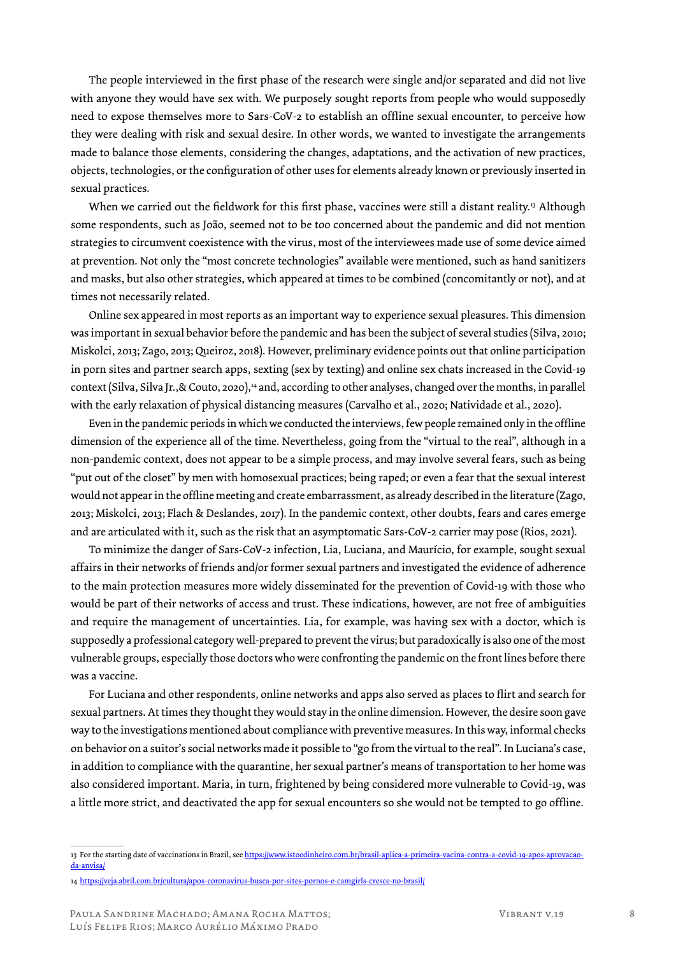The people interviewed in the first phase of the research were single and/or separated and did not live with anyone they would have sex with. We purposely sought reports from people who would supposedly need to expose themselves more to Sars-CoV-2 to establish an offline sexual encounter, to perceive how they were dealing with risk and sexual desire. In other words, we wanted to investigate the arrangements made to balance those elements, considering the changes, adaptations, and the activation of new practices, objects, technologies, or the configuration of other uses for elements already known or previously inserted in sexual practices.

When we carried out the fieldwork for this first phase, vaccines were still a distant reality.<sup>13</sup> Although some respondents, such as João, seemed not to be too concerned about the pandemic and did not mention strategies to circumvent coexistence with the virus, most of the interviewees made use of some device aimed at prevention. Not only the "most concrete technologies" available were mentioned, such as hand sanitizers and masks, but also other strategies, which appeared at times to be combined (concomitantly or not), and at times not necessarily related.

Online sex appeared in most reports as an important way to experience sexual pleasures. This dimension was important in sexual behavior before the pandemic and has been the subject of several studies (Silva, 2010; Miskolci, 2013; Zago, 2013; Queiroz, 2018). However, preliminary evidence points out that online participation in porn sites and partner search apps, sexting (sex by texting) and online sex chats increased in the Covid-19 context (Silva, Silva Jr., & Couto, 2020),<sup>14</sup> and, according to other analyses, changed over the months, in parallel with the early relaxation of physical distancing measures (Carvalho et al., 2020; Natividade et al., 2020).

Even in the pandemic periods in which we conducted the interviews, few people remained only in the offline dimension of the experience all of the time. Nevertheless, going from the "virtual to the real", although in a non-pandemic context, does not appear to be a simple process, and may involve several fears, such as being "put out of the closet" by men with homosexual practices; being raped; or even a fear that the sexual interest would not appear in the offline meeting and create embarrassment, as already described in the literature (Zago, 2013; Miskolci, 2013; Flach & Deslandes, 2017). In the pandemic context, other doubts, fears and cares emerge and are articulated with it, such as the risk that an asymptomatic Sars-CoV-2 carrier may pose (Rios, 2021).

To minimize the danger of Sars-CoV-2 infection, Lia, Luciana, and Maurício, for example, sought sexual affairs in their networks of friends and/or former sexual partners and investigated the evidence of adherence to the main protection measures more widely disseminated for the prevention of Covid-19 with those who would be part of their networks of access and trust. These indications, however, are not free of ambiguities and require the management of uncertainties. Lia, for example, was having sex with a doctor, which is supposedly a professional category well-prepared to prevent the virus; but paradoxically is also one of the most vulnerable groups, especially those doctors who were confronting the pandemic on the front lines before there was a vaccine.

For Luciana and other respondents*,* online networks and apps also served as places to flirt and search for sexual partners. At times they thought they would stay in the online dimension. However, the desire soon gave way to the investigations mentioned about compliance with preventive measures. In this way, informal checks on behavior on a suitor's social networks made it possible to "go from the virtual to the real". In Luciana's case, in addition to compliance with the quarantine, her sexual partner's means of transportation to her home was also considered important. Maria, in turn, frightened by being considered more vulnerable to Covid-19, was a little more strict, and deactivated the app for sexual encounters so she would not be tempted to go offline.

<sup>13</sup> For the starting date of vaccinations in Brazil, see https://www.istoedinheiro.com.br/brasil-aplica-a-primeira-vacina-contra-a-covid-19-apos-aprovacaoda-anvisa/

<sup>14</sup> https://veja.abril.com.br/cultura/apos-coronavirus-busca-por-sites-pornos-e-camgirls-cresce-no-brasil/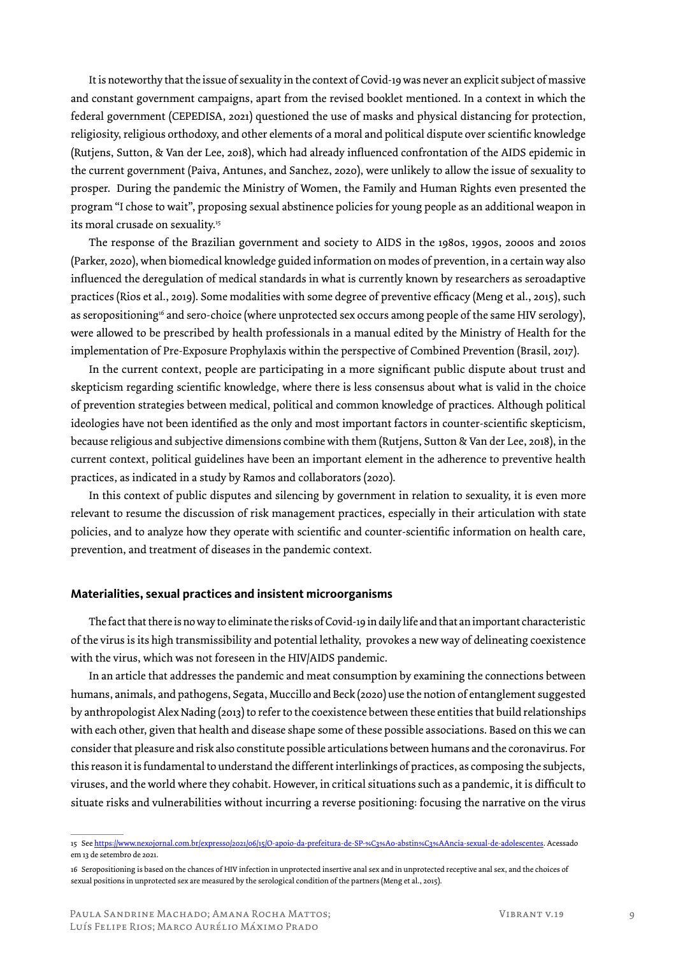It is noteworthy that the issue of sexuality in the context of Covid-19 was never an explicit subject of massive and constant government campaigns, apart from the revised booklet mentioned. In a context in which the federal government (CEPEDISA, 2021) questioned the use of masks and physical distancing for protection, religiosity, religious orthodoxy, and other elements of a moral and political dispute over scientific knowledge (Rutjens, Sutton, & Van der Lee, 2018), which had already influenced confrontation of the AIDS epidemic in the current government (Paiva, Antunes, and Sanchez, 2020), were unlikely to allow the issue of sexuality to prosper. During the pandemic the Ministry of Women, the Family and Human Rights even presented the program "I chose to wait", proposing sexual abstinence policies for young people as an additional weapon in its moral crusade on sexuality.<sup>15</sup>

The response of the Brazilian government and society to AIDS in the 1980s, 1990s, 2000s and 2010s (Parker, 2020), when biomedical knowledge guided information on modes of prevention, in a certain way also influenced the deregulation of medical standards in what is currently known by researchers as seroadaptive practices (Rios et al., 2019). Some modalities with some degree of preventive efficacy (Meng et al., 2015), such as seropositioning<sup>16</sup> and sero-choice (where unprotected sex occurs among people of the same HIV serology), were allowed to be prescribed by health professionals in a manual edited by the Ministry of Health for the implementation of Pre-Exposure Prophylaxis within the perspective of Combined Prevention (Brasil, 2017).

In the current context, people are participating in a more significant public dispute about trust and skepticism regarding scientific knowledge, where there is less consensus about what is valid in the choice of prevention strategies between medical, political and common knowledge of practices. Although political ideologies have not been identified as the only and most important factors in counter-scientific skepticism, because religious and subjective dimensions combine with them (Rutjens, Sutton & Van der Lee, 2018), in the current context, political guidelines have been an important element in the adherence to preventive health practices, as indicated in a study by Ramos and collaborators (2020).

In this context of public disputes and silencing by government in relation to sexuality, it is even more relevant to resume the discussion of risk management practices, especially in their articulation with state policies, and to analyze how they operate with scientific and counter-scientific information on health care, prevention, and treatment of diseases in the pandemic context.

#### **Materialities, sexual practices and insistent microorganisms**

The fact that there is no way to eliminate the risks of Covid-19 in daily life and that an important characteristic of the virus is its high transmissibility and potential lethality, provokes a new way of delineating coexistence with the virus, which was not foreseen in the HIV/AIDS pandemic.

In an article that addresses the pandemic and meat consumption by examining the connections between humans, animals, and pathogens, Segata, Muccillo and Beck (2020) use the notion of entanglement suggested by anthropologist Alex Nading (2013) to refer to the coexistence between these entities that build relationships with each other, given that health and disease shape some of these possible associations. Based on this we can consider that pleasure and risk also constitute possible articulations between humans and the coronavirus. For this reason it is fundamental to understand the different interlinkings of practices, as composing the subjects, viruses, and the world where they cohabit. However, in critical situations such as a pandemic, it is difficult to situate risks and vulnerabilities without incurring a reverse positioning: focusing the narrative on the virus

<sup>15</sup> See https://www.nexojornal.com.br/expresso/2021/06/15/O-apoio-da-prefeitura-de-SP-%C3%A0-abstin%C3%AAncia-sexual-de-adolescentes. Acessado em 13 de setembro de 2021.

<sup>16</sup> Seropositioning is based on the chances of HIV infection in unprotected insertive anal sex and in unprotected receptive anal sex, and the choices of sexual positions in unprotected sex are measured by the serological condition of the partners (Meng et al., 2015).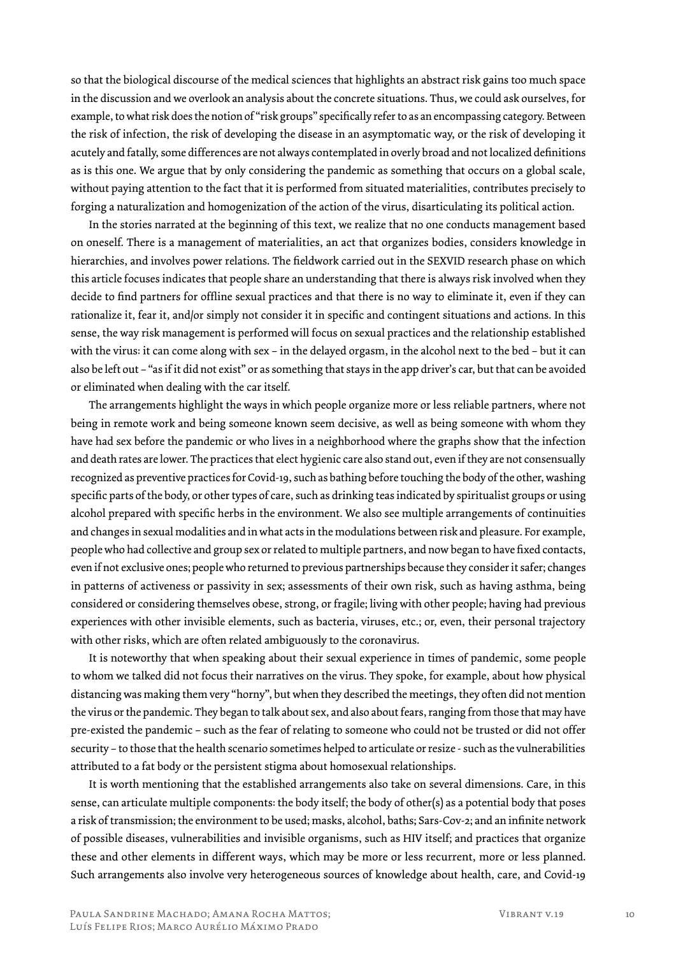so that the biological discourse of the medical sciences that highlights an abstract risk gains too much space in the discussion and we overlook an analysis about the concrete situations. Thus, we could ask ourselves, for example, to what risk does the notion of "risk groups" specifically refer to as an encompassing category. Between the risk of infection, the risk of developing the disease in an asymptomatic way, or the risk of developing it acutely and fatally, some differences are not always contemplated in overly broad and not localized definitions as is this one. We argue that by only considering the pandemic as something that occurs on a global scale, without paying attention to the fact that it is performed from situated materialities, contributes precisely to forging a naturalization and homogenization of the action of the virus, disarticulating its political action.

In the stories narrated at the beginning of this text, we realize that no one conducts management based on oneself. There is a management of materialities, an act that organizes bodies, considers knowledge in hierarchies, and involves power relations. The fieldwork carried out in the SEXVID research phase on which this article focuses indicates that people share an understanding that there is always risk involved when they decide to find partners for offline sexual practices and that there is no way to eliminate it, even if they can rationalize it, fear it, and/or simply not consider it in specific and contingent situations and actions. In this sense, the way risk management is performed will focus on sexual practices and the relationship established with the virus: it can come along with sex – in the delayed orgasm, in the alcohol next to the bed – but it can also be left out – "as if it did not exist" or as something that stays in the app driver's car, but that can be avoided or eliminated when dealing with the car itself.

The arrangements highlight the ways in which people organize more or less reliable partners, where not being in remote work and being someone known seem decisive, as well as being someone with whom they have had sex before the pandemic or who lives in a neighborhood where the graphs show that the infection and death rates are lower. The practices that elect hygienic care also stand out, even if they are not consensually recognized as preventive practices for Covid-19, such as bathing before touching the body of the other, washing specific parts of the body, or other types of care, such as drinking teas indicated by spiritualist groups or using alcohol prepared with specific herbs in the environment. We also see multiple arrangements of continuities and changes in sexual modalities and in what acts in the modulations between risk and pleasure. For example, people who had collective and group sex or related to multiple partners, and now began to have fixed contacts, even if not exclusive ones; people who returned to previous partnerships because they consider it safer; changes in patterns of activeness or passivity in sex; assessments of their own risk, such as having asthma, being considered or considering themselves obese, strong, or fragile; living with other people; having had previous experiences with other invisible elements, such as bacteria, viruses, etc.; or, even, their personal trajectory with other risks, which are often related ambiguously to the coronavirus.

It is noteworthy that when speaking about their sexual experience in times of pandemic, some people to whom we talked did not focus their narratives on the virus. They spoke, for example, about how physical distancing was making them very "horny", but when they described the meetings, they often did not mention the virus or the pandemic. They began to talk about sex, and also about fears, ranging from those that may have pre-existed the pandemic – such as the fear of relating to someone who could not be trusted or did not offer security – to those that the health scenario sometimes helped to articulate or resize - such as the vulnerabilities attributed to a fat body or the persistent stigma about homosexual relationships.

It is worth mentioning that the established arrangements also take on several dimensions. Care, in this sense, can articulate multiple components: the body itself; the body of other(s) as a potential body that poses a risk of transmission; the environment to be used; masks, alcohol, baths; Sars-Cov-2; and an infinite network of possible diseases, vulnerabilities and invisible organisms, such as HIV itself; and practices that organize these and other elements in different ways, which may be more or less recurrent, more or less planned. Such arrangements also involve very heterogeneous sources of knowledge about health, care, and Covid-19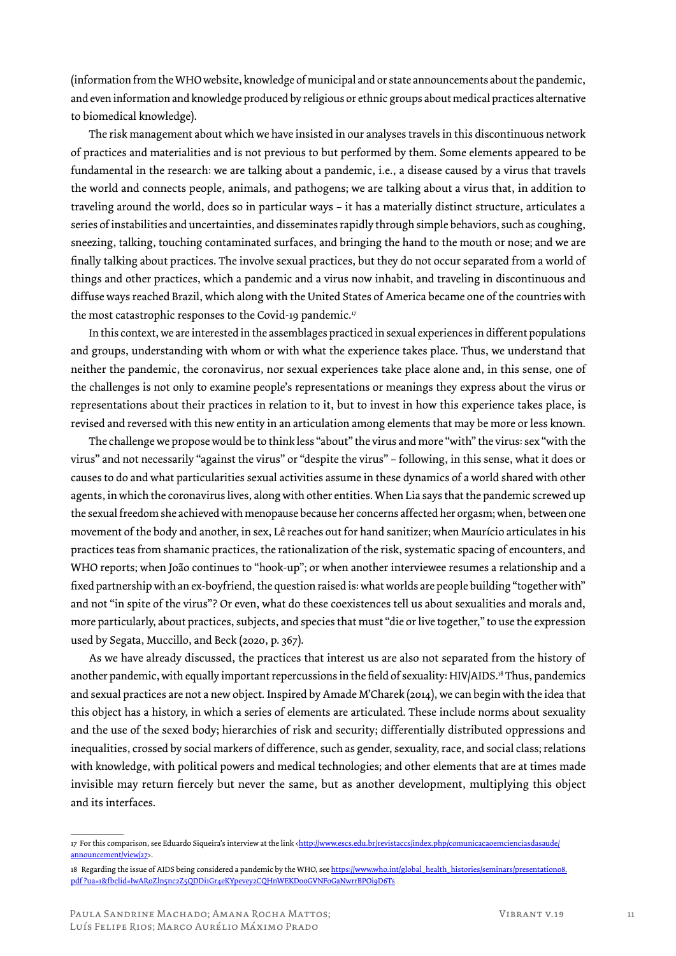(information from the WHO website, knowledge of municipal and or state announcements about the pandemic, and even information and knowledge produced by religious or ethnic groups about medical practices alternative to biomedical knowledge).

The risk management about which we have insisted in our analyses travels in this discontinuous network of practices and materialities and is not previous to but performed by them. Some elements appeared to be fundamental in the research: we are talking about a pandemic, i.e., a disease caused by a virus that travels the world and connects people, animals, and pathogens; we are talking about a virus that, in addition to traveling around the world, does so in particular ways – it has a materially distinct structure, articulates a series of instabilities and uncertainties, and disseminates rapidly through simple behaviors, such as coughing, sneezing, talking, touching contaminated surfaces, and bringing the hand to the mouth or nose; and we are finally talking about practices. The involve sexual practices, but they do not occur separated from a world of things and other practices, which a pandemic and a virus now inhabit, and traveling in discontinuous and diffuse ways reached Brazil, which along with the United States of America became one of the countries with the most catastrophic responses to the Covid-19 pandemic.<sup>17</sup>

In this context, we are interested in the assemblages practiced in sexual experiences in different populations and groups, understanding with whom or with what the experience takes place. Thus, we understand that neither the pandemic, the coronavirus, nor sexual experiences take place alone and, in this sense, one of the challenges is not only to examine people's representations or meanings they express about the virus or representations about their practices in relation to it, but to invest in how this experience takes place, is revised and reversed with this new entity in an articulation among elements that may be more or less known.

The challenge we propose would be to think less "about" the virus and more "with" the virus: sex "with the virus" and not necessarily "against the virus" or "despite the virus" – following, in this sense, what it does or causes to do and what particularities sexual activities assume in these dynamics of a world shared with other agents, in which the coronavirus lives, along with other entities. When Lia says that the pandemic screwed up the sexual freedom she achieved with menopause because her concerns affected her orgasm; when, between one movement of the body and another, in sex, Lê reaches out for hand sanitizer; when Maurício articulates in his practices teas from shamanic practices, the rationalization of the risk, systematic spacing of encounters, and WHO reports; when João continues to "hook-up"; or when another interviewee resumes a relationship and a fixed partnership with an ex-boyfriend, the question raised is: what worlds are people building "together with" and not "in spite of the virus"? Or even, what do these coexistences tell us about sexualities and morals and, more particularly, about practices, subjects, and species that must "die or live together," to use the expression used by Segata, Muccillo, and Beck (2020, p. 367).

As we have already discussed, the practices that interest us are also not separated from the history of another pandemic, with equally important repercussions in the field of sexuality: HIV/AIDS.<sup>18</sup> Thus, pandemics and sexual practices are not a new object. Inspired by Amade M'Charek (2014), we can begin with the idea that this object has a history, in which a series of elements are articulated. These include norms about sexuality and the use of the sexed body; hierarchies of risk and security; differentially distributed oppressions and inequalities, crossed by social markers of difference, such as gender, sexuality, race, and social class; relations with knowledge, with political powers and medical technologies; and other elements that are at times made invisible may return fiercely but never the same, but as another development, multiplying this object and its interfaces.

<sup>17</sup> For this comparison, see Eduardo Siqueira's interview at the link <http://www.escs.edu.br/revistaccs/index.php/comunicacaoemcienciasdasaude/ announcement/view/27>.

<sup>18</sup> Regarding the issue of AIDS being considered a pandemic by the WHO, see https://www.who.int/global\_health\_histories/seminars/presentation08. pdf ?ua=1&fbclid=IwAR0Zln5nc2Z5QDDi1Gr4eKYpevey2CQHnWEKD00GVNFoGaNwrrBPOi9D6Ts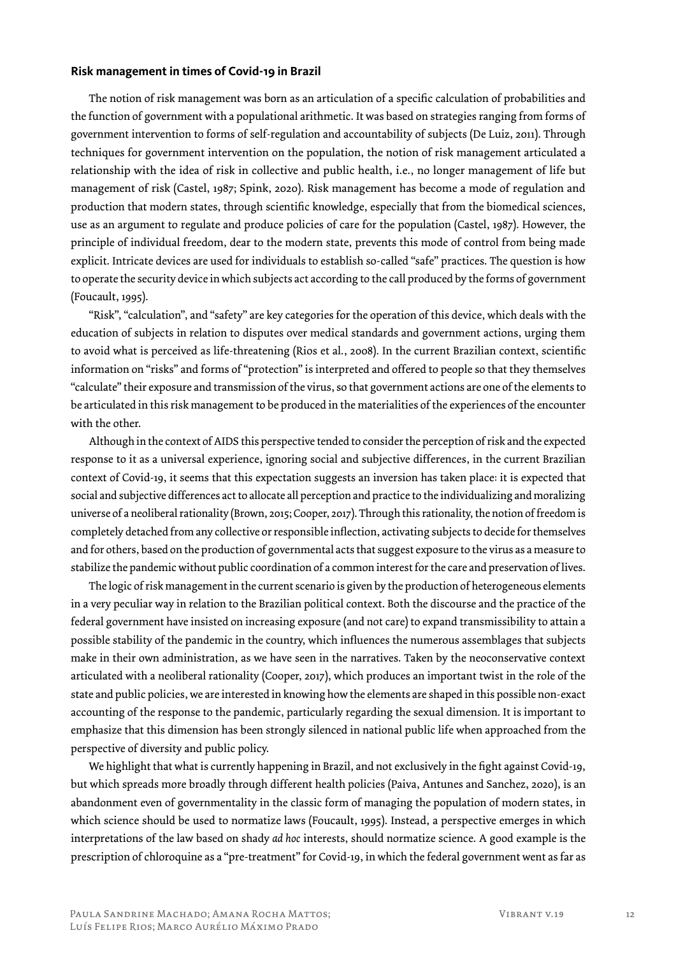### **Risk management in times of Covid-19 in Brazil**

The notion of risk management was born as an articulation of a specific calculation of probabilities and the function of government with a populational arithmetic. It was based on strategies ranging from forms of government intervention to forms of self-regulation and accountability of subjects (De Luiz, 2011). Through techniques for government intervention on the population, the notion of risk management articulated a relationship with the idea of risk in collective and public health, i.e., no longer management of life but management of risk (Castel, 1987; Spink, 2020). Risk management has become a mode of regulation and production that modern states, through scientific knowledge, especially that from the biomedical sciences, use as an argument to regulate and produce policies of care for the population (Castel, 1987). However, the principle of individual freedom, dear to the modern state, prevents this mode of control from being made explicit. Intricate devices are used for individuals to establish so-called "safe" practices. The question is how to operate the security device in which subjects act according to the call produced by the forms of government (Foucault, 1995).

"Risk", "calculation", and "safety" are key categories for the operation of this device, which deals with the education of subjects in relation to disputes over medical standards and government actions, urging them to avoid what is perceived as life-threatening (Rios et al., 2008). In the current Brazilian context, scientific information on "risks" and forms of "protection" is interpreted and offered to people so that they themselves "calculate" their exposure and transmission of the virus, so that government actions are one of the elements to be articulated in this risk management to be produced in the materialities of the experiences of the encounter with the other.

Although in the context of AIDS this perspective tended to consider the perception of risk and the expected response to it as a universal experience, ignoring social and subjective differences, in the current Brazilian context of Covid-19, it seems that this expectation suggests an inversion has taken place: it is expected that social and subjective differences act to allocate all perception and practice to the individualizing and moralizing universe of a neoliberal rationality (Brown, 2015; Cooper, 2017). Through this rationality, the notion of freedom is completely detached from any collective or responsible inflection, activating subjects to decide for themselves and for others, based on the production of governmental acts that suggest exposure to the virus as a measure to stabilize the pandemic without public coordination of a common interest for the care and preservation of lives.

The logic of risk management in the current scenario is given by the production of heterogeneous elements in a very peculiar way in relation to the Brazilian political context. Both the discourse and the practice of the federal government have insisted on increasing exposure (and not care) to expand transmissibility to attain a possible stability of the pandemic in the country, which influences the numerous assemblages that subjects make in their own administration, as we have seen in the narratives. Taken by the neoconservative context articulated with a neoliberal rationality (Cooper, 2017), which produces an important twist in the role of the state and public policies, we are interested in knowing how the elements are shaped in this possible non-exact accounting of the response to the pandemic, particularly regarding the sexual dimension. It is important to emphasize that this dimension has been strongly silenced in national public life when approached from the perspective of diversity and public policy.

We highlight that what is currently happening in Brazil, and not exclusively in the fight against Covid-19, but which spreads more broadly through different health policies (Paiva, Antunes and Sanchez, 2020), is an abandonment even of governmentality in the classic form of managing the population of modern states, in which science should be used to normatize laws (Foucault, 1995). Instead, a perspective emerges in which interpretations of the law based on shady *ad hoc* interests, should normatize science. A good example is the prescription of chloroquine as a "pre-treatment" for Covid-19, in which the federal government went as far as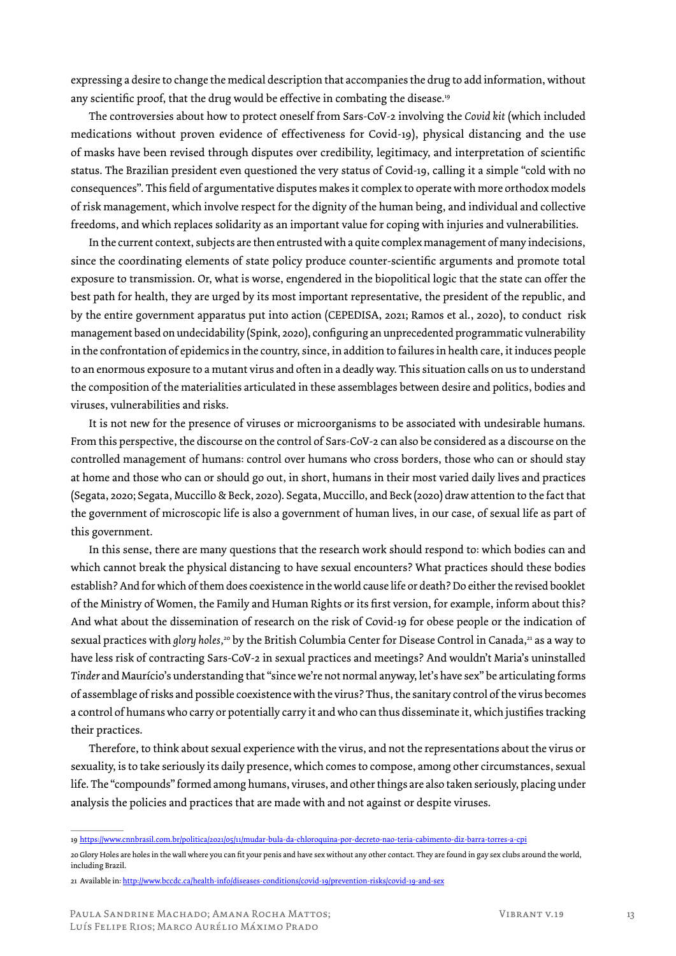expressing a desire to change the medical description that accompanies the drug to add information, without any scientific proof, that the drug would be effective in combating the disease.<sup>19</sup>

The controversies about how to protect oneself from Sars-CoV-2 involving the *Covid kit* (which included medications without proven evidence of effectiveness for Covid-19), physical distancing and the use of masks have been revised through disputes over credibility, legitimacy, and interpretation of scientific status. The Brazilian president even questioned the very status of Covid-19, calling it a simple "cold with no consequences". This field of argumentative disputes makes it complex to operate with more orthodox models of risk management, which involve respect for the dignity of the human being, and individual and collective freedoms, and which replaces solidarity as an important value for coping with injuries and vulnerabilities.

In the current context, subjects are then entrusted with a quite complex management of many indecisions, since the coordinating elements of state policy produce counter-scientific arguments and promote total exposure to transmission. Or, what is worse, engendered in the biopolitical logic that the state can offer the best path for health, they are urged by its most important representative, the president of the republic, and by the entire government apparatus put into action (CEPEDISA, 2021; Ramos et al., 2020), to conduct risk management based on undecidability (Spink, 2020), configuring an unprecedented programmatic vulnerability in the confrontation of epidemics in the country, since, in addition to failures in health care, it induces people to an enormous exposure to a mutant virus and often in a deadly way. This situation calls on us to understand the composition of the materialities articulated in these assemblages between desire and politics, bodies and viruses, vulnerabilities and risks.

It is not new for the presence of viruses or microorganisms to be associated with undesirable humans. From this perspective, the discourse on the control of Sars-CoV-2 can also be considered as a discourse on the controlled management of humans: control over humans who cross borders, those who can or should stay at home and those who can or should go out, in short, humans in their most varied daily lives and practices (Segata, 2020; Segata, Muccillo & Beck, 2020). Segata, Muccillo, and Beck (2020) draw attention to the fact that the government of microscopic life is also a government of human lives, in our case, of sexual life as part of this government.

In this sense, there are many questions that the research work should respond to: which bodies can and which cannot break the physical distancing to have sexual encounters? What practices should these bodies establish? And for which of them does coexistence in the world cause life or death? Do either the revised booklet of the Ministry of Women, the Family and Human Rights or its first version, for example, inform about this? And what about the dissemination of research on the risk of Covid-19 for obese people or the indication of sexual practices with *glory holes*,<sup>20</sup> by the British Columbia Center for Disease Control in Canada,<sup>21</sup> as a way to have less risk of contracting Sars-CoV-2 in sexual practices and meetings? And wouldn't Maria's uninstalled *Tinder* and Maurício's understanding that "since we're not normal anyway, let's have sex" be articulating forms of assemblage of risks and possible coexistence with the virus? Thus, the sanitary control of the virus becomes a control of humans who carry or potentially carry it and who can thus disseminate it, which justifies tracking their practices.

Therefore, to think about sexual experience with the virus, and not the representations about the virus or sexuality, is to take seriously its daily presence, which comes to compose, among other circumstances, sexual life. The "compounds" formed among humans, viruses, and other things are also taken seriously, placing under analysis the policies and practices that are made with and not against or despite viruses.

<sup>19</sup> https://www.cnnbrasil.com.br/politica/2021/05/11/mudar-bula-da-chloroquina-por-decreto-nao-teria-cabimento-diz-barra-torres-a-cpi

<sup>20</sup> Glory Holes are holes in the wall where you can fit your penis and have sex without any other contact. They are found in gay sex clubs around the world, including Brazil.

<sup>21</sup> Available in: http://www.bccdc.ca/health-info/diseases-conditions/covid-19/prevention-risks/covid-19-and-sex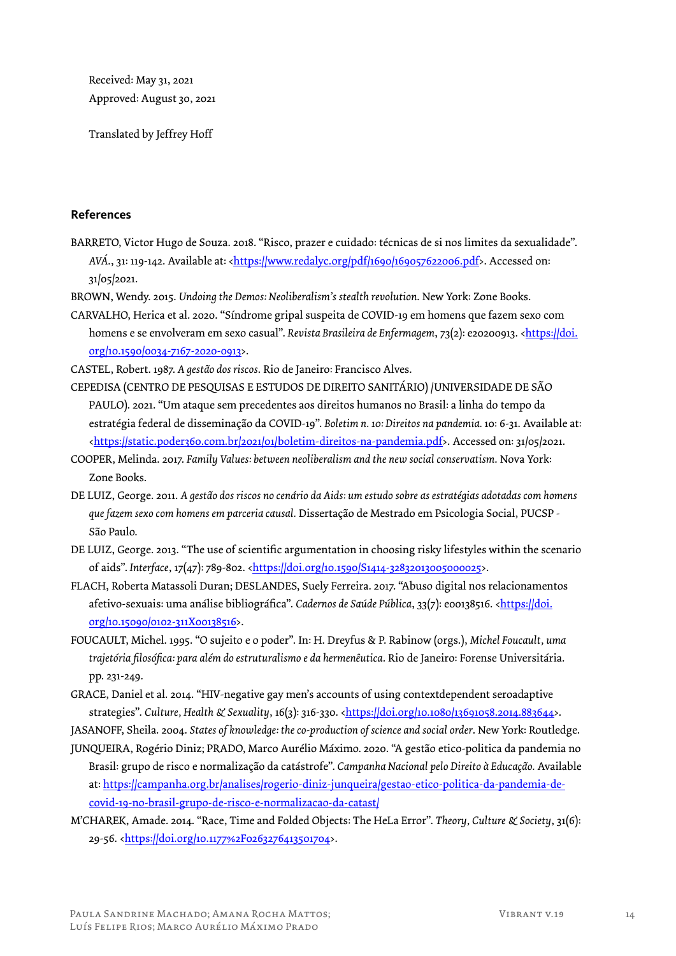Received: May 31, 2021 Approved: August 30, 2021

Translated by Jeffrey Hoff

### **References**

- BARRETO, Victor Hugo de Souza. 2018. "Risco, prazer e cuidado: técnicas de si nos limites da sexualidade". *AVÁ*., 31: 119-142. Available at: <https://www.redalyc.org/pdf/1690/169057622006.pdf>. Accessed on: 31/05/2021.
- BROWN, Wendy. 2015. *Undoing the Demos: Neoliberalism's stealth revolution*. New York: Zone Books.
- CARVALHO, Herica et al. 2020. "Síndrome gripal suspeita de COVID-19 em homens que fazem sexo com homens e se envolveram em sexo casual". *Revista Brasileira de Enfermagem*, 73(2): e20200913. <https://doi. org/10.1590/0034-7167-2020-0913>.

CASTEL, Robert. 1987. *A gestão dos riscos*. Rio de Janeiro: Francisco Alves.

- CEPEDISA (CENTRO DE PESQUISAS E ESTUDOS DE DIREITO SANITÁRIO) /UNIVERSIDADE DE SÃO PAULO). 2021. "Um ataque sem precedentes aos direitos humanos no Brasil: a linha do tempo da estratégia federal de disseminação da COVID-19". *Boletim n. 10: Direitos na pandemia.* 10: 6-31. Available at: <https://static.poder360.com.br/2021/01/boletim-direitos-na-pandemia.pdf>. Accessed on: 31/05/2021.
- COOPER, Melinda. 2017. *Family Values: between neoliberalism and the new social conservatism*. Nova York: Zone Books.
- DE LUIZ, George. 2011. *A gestão dos riscos no cenário da Aids: um estudo sobre as estratégias adotadas com homens que fazem sexo com homens em parceria causal.* Dissertação de Mestrado em Psicologia Social, PUCSP - São Paulo.
- DE LUIZ, George. 2013. "The use of scientific argumentation in choosing risky lifestyles within the scenario of aids". *Interface*, 17(47): 789-802. <https://doi.org/10.1590/S1414-32832013005000025>.
- FLACH, Roberta Matassoli Duran; DESLANDES, Suely Ferreira. 2017. "Abuso digital nos relacionamentos afetivo-sexuais: uma análise bibliográfica". *Cadernos de Saúde Pública*, 33(7): e00138516. <https://doi. org/10.15090/0102-311X00138516>.
- FOUCAULT, Michel. 1995. "O sujeito e o poder". In: H. Dreyfus & P. Rabinow (orgs.), *Michel Foucault, uma trajetória filosófica: para além do estruturalismo e da hermenêutica*. Rio de Janeiro: Forense Universitária. pp. 231-249.
- GRACE, Daniel et al. 2014. "HIV-negative gay men's accounts of using contextdependent seroadaptive strategies". *Culture, Health & Sexuality*, 16(3): 316-330. <https://doi.org/10.1080/13691058.2014.883644>.
- JASANOFF, Sheila. 2004. *States of knowledge: the co-production of science and social order*. New York: Routledge.
- JUNQUEIRA, Rogério Diniz; PRADO, Marco Aurélio Máximo. 2020. "A gestão etico-politica da pandemia no Brasil: grupo de risco e normalização da catástrofe". *Campanha Nacional pelo Direito à Educação.* Available at: https://campanha.org.br/analises/rogerio-diniz-junqueira/gestao-etico-politica-da-pandemia-decovid-19-no-brasil-grupo-de-risco-e-normalizacao-da-catast/
- M'CHAREK, Amade. 2014. "Race, Time and Folded Objects: The HeLa Error". *Theory, Culture & Society*, 31(6): 29-56. <https://doi.org/10.1177%2F0263276413501704>.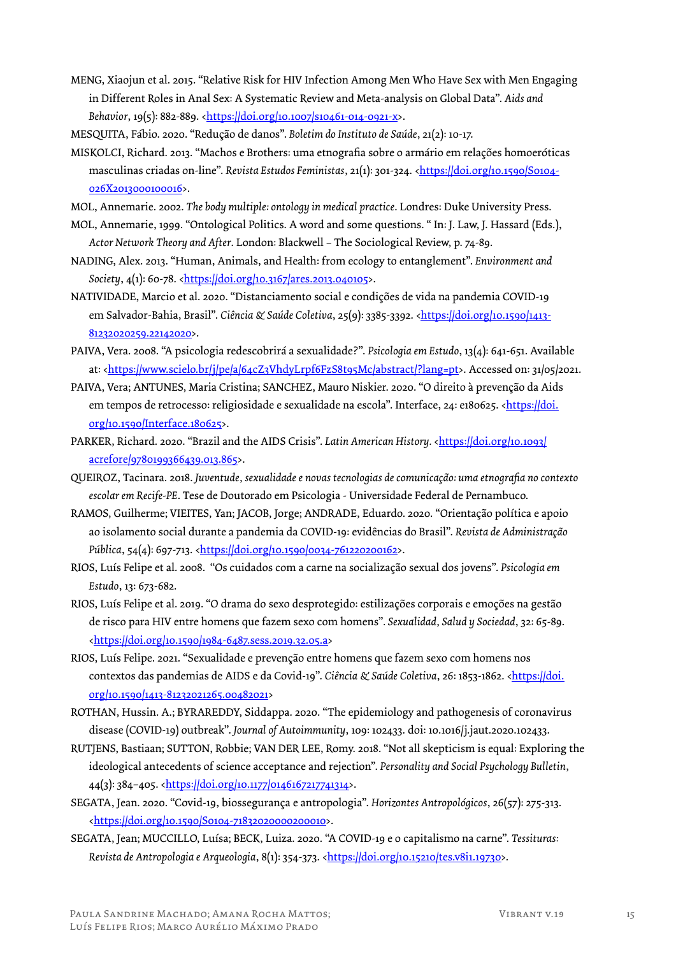- MENG, Xiaojun et al. 2015. "Relative Risk for HIV Infection Among Men Who Have Sex with Men Engaging in Different Roles in Anal Sex: A Systematic Review and Meta-analysis on Global Data". *Aids and Behavior*, 19(5): 882-889. <https://doi.org/10.1007/s10461-014-0921-x>.
- MESQUITA, Fábio. 2020. "Redução de danos". *Boletim do Instituto de Saúde*, 21(2): 10-17.
- MISKOLCI, Richard. 2013. "Machos e Brothers: uma etnografia sobre o armário em relações homoeróticas masculinas criadas on-line". *Revista Estudos Feministas*, 21(1): 301-324. <https://doi.org/10.1590/S0104-026X2013000100016>.
- MOL, Annemarie. 2002. *The body multiple: ontology in medical practice*. Londres: Duke University Press.
- MOL, Annemarie, 1999. "Ontological Politics. A word and some questions. " In: J. Law, J. Hassard (Eds.), *Actor Network Theory and After*. London: Blackwell – The Sociological Review, p. 74-89.
- NADING, Alex. 2013. "Human, Animals, and Health: from ecology to entanglement". *Environment and Society*, 4(1): 60-78. <https://doi.org/10.3167/ares.2013.040105>.
- NATIVIDADE, Marcio et al. 2020. "Distanciamento social e condições de vida na pandemia COVID-19 em Salvador-Bahia, Brasil". *Ciência & Saúde Coletiva*, 25(9): 3385-3392. <https://doi.org/10.1590/1413-81232020259.22142020>.
- PAIVA, Vera. 2008. "A psicologia redescobrirá a sexualidade?". *Psicologia em Estudo*, 13(4): 641-651. Available at: <https://www.scielo.br/j/pe/a/64cZ3VhdyLrpf6FzS8t95Mc/abstract/?lang=pt>. Accessed on: 31/05/2021.
- PAIVA, Vera; ANTUNES, Maria Cristina; SANCHEZ, Mauro Niskier. 2020. "O direito à prevenção da Aids em tempos de retrocesso: religiosidade e sexualidade na escola". Interface, 24: e180625. <https://doi. org/10.1590/Interface.180625>.
- PARKER, Richard. 2020. "Brazil and the AIDS Crisis". *Latin American History.* <https://doi.org/10.1093/ acrefore/9780199366439.013.865>.
- QUEIROZ, Tacinara. 2018. *Juventude, sexualidade e novas tecnologias de comunicação: uma etnografia no contexto escolar em Recife-PE*. Tese de Doutorado em Psicologia - Universidade Federal de Pernambuco.
- RAMOS, Guilherme; VIEITES, Yan; JACOB, Jorge; ANDRADE, Eduardo. 2020. "Orientação política e apoio ao isolamento social durante a pandemia da COVID-19: evidências do Brasil". *Revista de Administração Pública*, 54(4): 697-713. <https://doi.org/10.1590/0034-761220200162>.
- RIOS, Luís Felipe et al. 2008. "Os cuidados com a carne na socialização sexual dos jovens". *Psicologia em Estudo*, 13: 673-682.
- RIOS, Luís Felipe et al. 2019. "O drama do sexo desprotegido: estilizações corporais e emoções na gestão de risco para HIV entre homens que fazem sexo com homens"*. Sexualidad, Salud y Sociedad*, 32: 65-89. <https://doi.org/10.1590/1984-6487.sess.2019.32.05.a>
- RIOS, Luís Felipe. 2021. "Sexualidade e prevenção entre homens que fazem sexo com homens nos contextos das pandemias de AIDS e da Covid-19". Ciência & Saúde Coletiva, 26: 1853-1862. <https://doi. org/10.1590/1413-81232021265.00482021>
- ROTHAN, Hussin. A.; BYRAREDDY, Siddappa. 2020. "The epidemiology and pathogenesis of coronavirus disease (COVID-19) outbreak". *Journal of Autoimmunity*, 109: 102433. doi: 10.1016/j.jaut.2020.102433.
- RUTJENS, Bastiaan; SUTTON, Robbie; VAN DER LEE, Romy. 2018. "Not all skepticism is equal: Exploring the ideological antecedents of science acceptance and rejection". *Personality and Social Psychology Bulletin*, 44(3): 384–405. <https://doi.org/10.1177/0146167217741314>.
- SEGATA, Jean. 2020. "Covid-19, biossegurança e antropologia". *Horizontes Antropológicos*, 26(57): 275-313. <https://doi.org/10.1590/S0104-71832020000200010>.
- SEGATA, Jean; MUCCILLO, Luísa; BECK, Luiza. 2020. "A COVID-19 e o capitalismo na carne". *Tessituras:*  Revista de Antropologia e Arqueologia, 8(1): 354-373. <https://doi.org/10.15210/tes.v8i1.19730>.